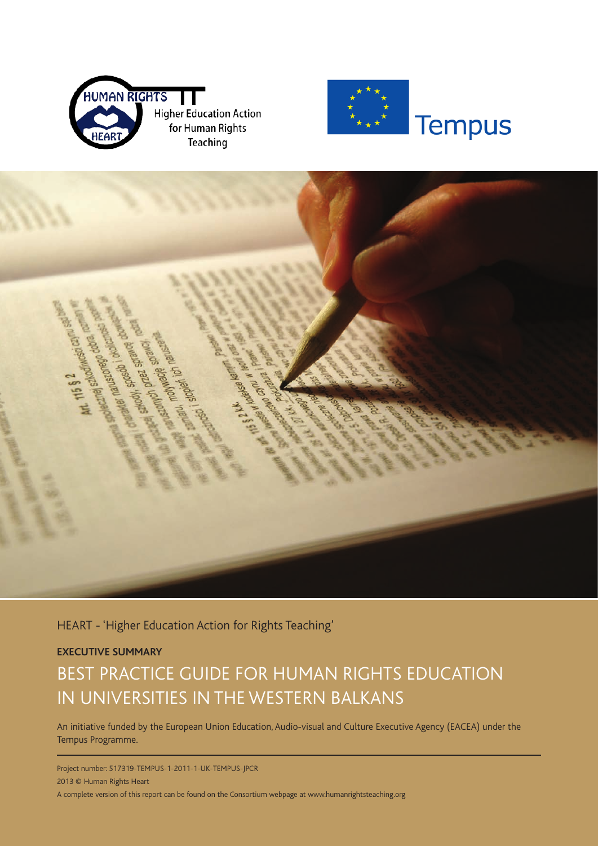





HEART - 'Higher Education Action for Rights Teaching'

#### **EXECUTIVE SUMMARY**

## BEST PRACTICE GUIDE FOR HUMAN RIGHTS EDUCATION IN UNIVERSITIES IN THE WESTERN BALKANS

An initiative funded by the European Union Education, Audio-visual and Culture Executive Agency (EACEA) under the Tempus Programme.

Project number: 517319-TEMPUS-1-2011-1-UK-TEMPUS-JPCR 2013 © Human Rights Heart A complete version of this report can be found on the Consortium webpage at www.humanrightsteaching.org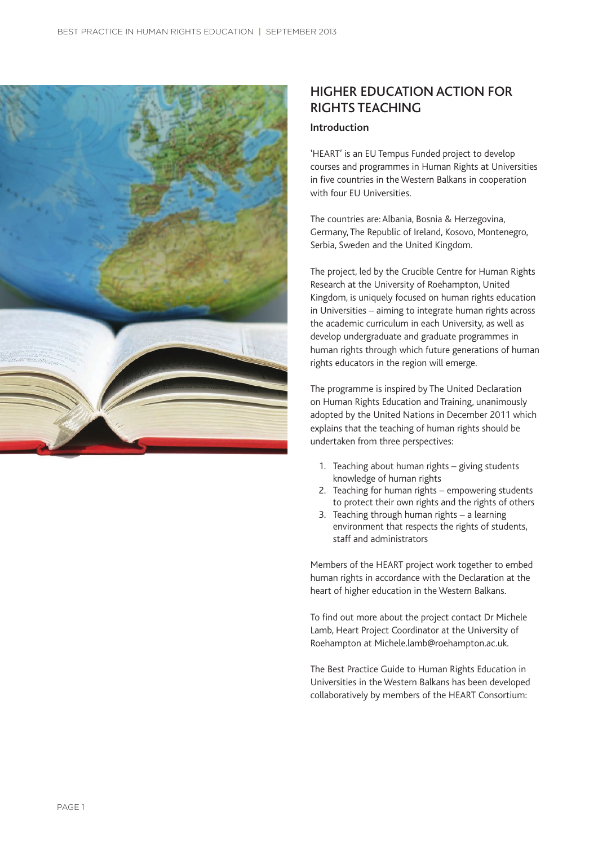

## HIGHER EDUCATION ACTION FOR RIGHTS TEACHING

#### **Introduction**

'HEART' is an EU Tempus Funded project to develop courses and programmes in Human Rights at Universities in five countries in the Western Balkans in cooperation with four EU Universities.

The countries are: Albania, Bosnia & Herzegovina, Germany, The Republic of Ireland, Kosovo, Montenegro, Serbia, Sweden and the United Kingdom.

The project, led by the Crucible Centre for Human Rights Research at the University of Roehampton, United Kingdom, is uniquely focused on human rights education in Universities – aiming to integrate human rights across the academic curriculum in each University, as well as develop undergraduate and graduate programmes in human rights through which future generations of human rights educators in the region will emerge.

The programme is inspired by The United Declaration on Human Rights Education and Training, unanimously adopted by the United Nations in December 2011 which explains that the teaching of human rights should be undertaken from three perspectives:

- 1. Teaching about human rights giving students knowledge of human rights
- 2. Teaching for human rights empowering students to protect their own rights and the rights of others
- 3. Teaching through human rights a learning environment that respects the rights of students, staff and administrators

Members of the HEART project work together to embed human rights in accordance with the Declaration at the heart of higher education in the Western Balkans.

To find out more about the project contact Dr Michele Lamb, Heart Project Coordinator at the University of Roehampton at Michele.lamb@roehampton.ac.uk.

The Best Practice Guide to Human Rights Education in Universities in the Western Balkans has been developed collaboratively by members of the HEART Consortium: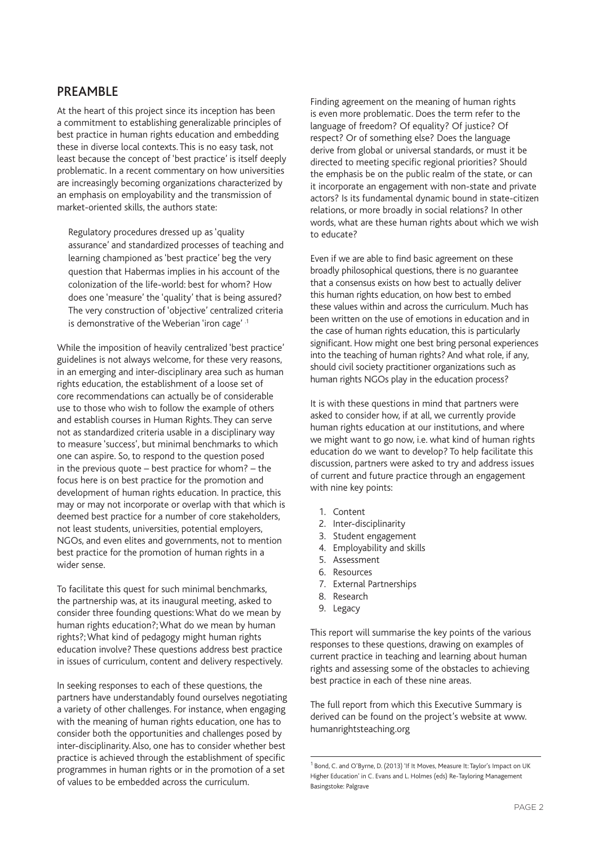#### PREAMBLE

At the heart of this project since its inception has been a commitment to establishing generalizable principles of best practice in human rights education and embedding these in diverse local contexts. This is no easy task, not least because the concept of 'best practice' is itself deeply problematic. In a recent commentary on how universities are increasingly becoming organizations characterized by an emphasis on employability and the transmission of market-oriented skills, the authors state:

Regulatory procedures dressed up as 'quality assurance' and standardized processes of teaching and learning championed as 'best practice' beg the very question that Habermas implies in his account of the colonization of the life-world: best for whom? How does one 'measure' the 'quality' that is being assured? The very construction of 'objective' centralized criteria is demonstrative of the Weberian 'iron cage' .1

While the imposition of heavily centralized 'best practice' guidelines is not always welcome, for these very reasons, in an emerging and inter-disciplinary area such as human rights education, the establishment of a loose set of core recommendations can actually be of considerable use to those who wish to follow the example of others and establish courses in Human Rights. They can serve not as standardized criteria usable in a disciplinary way to measure 'success', but minimal benchmarks to which one can aspire. So, to respond to the question posed in the previous quote – best practice for whom? – the focus here is on best practice for the promotion and development of human rights education. In practice, this may or may not incorporate or overlap with that which is deemed best practice for a number of core stakeholders, not least students, universities, potential employers, NGOs, and even elites and governments, not to mention best practice for the promotion of human rights in a wider sense.

To facilitate this quest for such minimal benchmarks, the partnership was, at its inaugural meeting, asked to consider three founding questions: What do we mean by human rights education?; What do we mean by human rights?; What kind of pedagogy might human rights education involve? These questions address best practice in issues of curriculum, content and delivery respectively.

In seeking responses to each of these questions, the partners have understandably found ourselves negotiating a variety of other challenges. For instance, when engaging with the meaning of human rights education, one has to consider both the opportunities and challenges posed by inter-disciplinarity. Also, one has to consider whether best practice is achieved through the establishment of specific programmes in human rights or in the promotion of a set of values to be embedded across the curriculum.

Finding agreement on the meaning of human rights is even more problematic. Does the term refer to the language of freedom? Of equality? Of justice? Of respect? Or of something else? Does the language derive from global or universal standards, or must it be directed to meeting specific regional priorities? Should the emphasis be on the public realm of the state, or can it incorporate an engagement with non-state and private actors? Is its fundamental dynamic bound in state-citizen relations, or more broadly in social relations? In other words, what are these human rights about which we wish to educate?

Even if we are able to find basic agreement on these broadly philosophical questions, there is no guarantee that a consensus exists on how best to actually deliver this human rights education, on how best to embed these values within and across the curriculum. Much has been written on the use of emotions in education and in the case of human rights education, this is particularly significant. How might one best bring personal experiences into the teaching of human rights? And what role, if any, should civil society practitioner organizations such as human rights NGOs play in the education process?

It is with these questions in mind that partners were asked to consider how, if at all, we currently provide human rights education at our institutions, and where we might want to go now, i.e. what kind of human rights education do we want to develop? To help facilitate this discussion, partners were asked to try and address issues of current and future practice through an engagement with nine key points:

- 1. Content
- 2. Inter-disciplinarity
- 3. Student engagement
- 4. Employability and skills
- 5. Assessment
- 6. Resources
- 7. External Partnerships
- 8. Research
- 9. Legacy

This report will summarise the key points of the various responses to these questions, drawing on examples of current practice in teaching and learning about human rights and assessing some of the obstacles to achieving best practice in each of these nine areas.

The full report from which this Executive Summary is derived can be found on the project's website at www. humanrightsteaching.org

<sup>&</sup>lt;sup>1</sup> Bond, C. and O'Byrne, D. (2013) 'If It Moves, Measure It: Taylor's Impact on UK Higher Education' in C. Evans and L. Holmes (eds) Re-Tayloring Management Basingstoke: Palgrave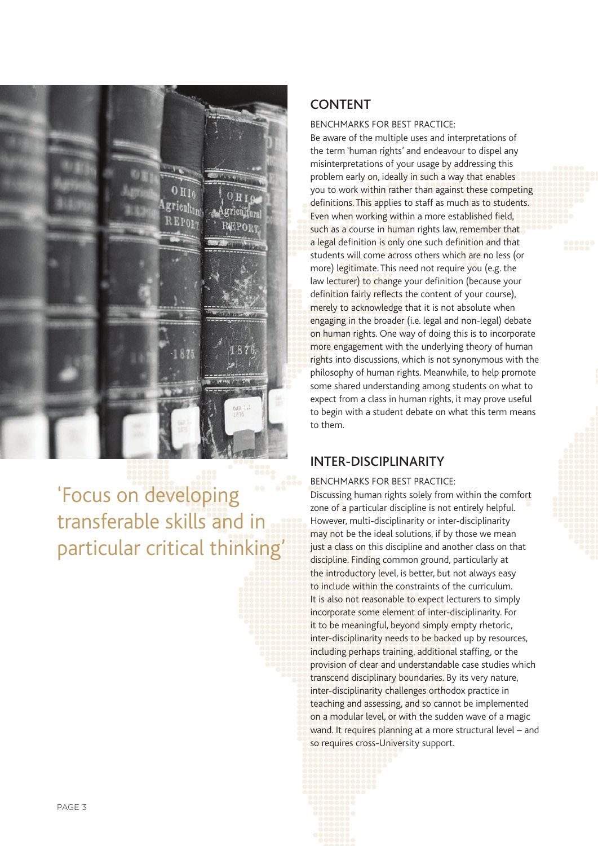

# 'Focus on developing transferable skills and in particular critical thinking'

#### CONTENT

BENCHMARKS FOR BEST PRACTICE:

Be aware of the multiple uses and interpretations of the term 'human rights' and endeavour to dispel any misinterpretations of your usage by addressing this problem early on, ideally in such a way that enables you to work within rather than against these competing definitions. This applies to staff as much as to students. Even when working within a more established field, such as a course in human rights law, remember that a legal definition is only one such definition and that students will come across others which are no less (or more) legitimate. This need not require you (e.g. the law lecturer) to change your definition (because your definition fairly reflects the content of your course), merely to acknowledge that it is not absolute when engaging in the broader (i.e. legal and non-legal) debate on human rights. One way of doing this is to incorporate more engagement with the underlying theory of human rights into discussions, which is not synonymous with the philosophy of human rights. Meanwhile, to help promote some shared understanding among students on what to expect from a class in human rights, it may prove useful to begin with a student debate on what this term means to them.

## INTER-DISCIPLINARITY

BENCHMARKS FOR BEST PRACTICE: Discussing human rights solely from within the comfort zone of a particular discipline is not entirely helpful. However, multi-disciplinarity or inter-disciplinarity may not be the ideal solutions, if by those we mean just a class on this discipline and another class on that discipline. Finding common ground, particularly at the introductory level, is better, but not always easy to include within the constraints of the curriculum. It is also not reasonable to expect lecturers to simply incorporate some element of inter-disciplinarity. For it to be meaningful, beyond simply empty rhetoric, inter-disciplinarity needs to be backed up by resources, including perhaps training, additional staffing, or the provision of clear and understandable case studies which transcend disciplinary boundaries. By its very nature, inter-disciplinarity challenges orthodox practice in teaching and assessing, and so cannot be implemented on a modular level, or with the sudden wave of a magic wand. It requires planning at a more structural level – and so requires cross-University support.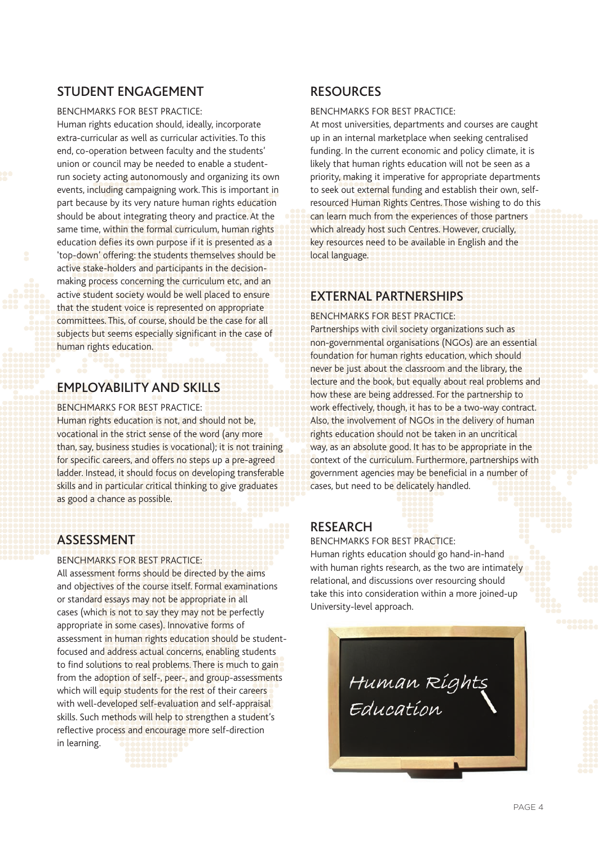## STUDENT ENGAGEMENT

#### BENCHMARKS FOR BEST PRACTICE:

Human rights education should, ideally, incorporate extra-curricular as well as curricular activities. To this end, co-operation between faculty and the students' union or council may be needed to enable a studentrun society acting autonomously and organizing its own events, including campaigning work. This is important in part because by its very nature human rights education should be about integrating theory and practice. At the same time, within the formal curriculum, human rights education defies its own purpose if it is presented as a 'top-down' offering: the students themselves should be active stake-holders and participants in the decisionmaking process concerning the curriculum etc, and an active student society would be well placed to ensure that the student voice is represented on appropriate committees. This, of course, should be the case for all subjects but seems especially significant in the case of human rights education.

## EMPLOYABILITY AND SKILLS

#### BENCHMARKS FOR BEST PRACTICE:

Human rights education is not, and should not be, vocational in the strict sense of the word (any more than, say, business studies is vocational); it is not training for specific careers, and offers no steps up a pre-agreed ladder. Instead, it should focus on developing transferable skills and in particular critical thinking to give graduates as good a chance as possible.

## ASSESSMENT

#### BENCHMARKS FOR BEST PRACTICE:

All assessment forms should be directed by the aims and objectives of the course itself. Formal examinations or standard essays may not be appropriate in all cases (which is not to say they may not be perfectly appropriate in some cases). Innovative forms of assessment in human rights education should be studentfocused and address actual concerns, enabling students to find solutions to real problems. There is much to gain from the adoption of self-, peer-, and group-assessments which will equip students for the rest of their careers with well-developed self-evaluation and self-appraisal skills. Such methods will help to strengthen a student's reflective process and encourage more self-direction in learning.

## RESOURCES

#### BENCHMARKS FOR BEST PRACTICE:

At most universities, departments and courses are caught up in an internal marketplace when seeking centralised funding. In the current economic and policy climate, it is likely that human rights education will not be seen as a priority, making it imperative for appropriate departments to seek out external funding and establish their own, selfresourced Human Rights Centres. Those wishing to do this can learn much from the experiences of those partners which already host such Centres. However, crucially, key resources need to be available in English and the local language.

## EXTERNAL PARTNERSHIPS

BENCHMARKS FOR BEST PRACTICE.

Partnerships with civil society organizations such as non-governmental organisations (NGOs) are an essential foundation for human rights education, which should never be just about the classroom and the library, the lecture and the book, but equally about real problems and how these are being addressed. For the partnership to work effectively, though, it has to be a two-way contract. Also, the involvement of NGOs in the delivery of human rights education should not be taken in an uncritical way, as an absolute good. It has to be appropriate in the context of the curriculum. Furthermore, partnerships with government agencies may be beneficial in a number of cases, but need to be delicately handled.

## RESEARCH

#### BENCHMARKS FOR BEST PRACTICE:

Human rights education should go hand-in-hand with human rights research, as the two are intimately relational, and discussions over resourcing should take this into consideration within a more joined-up University-level approach.

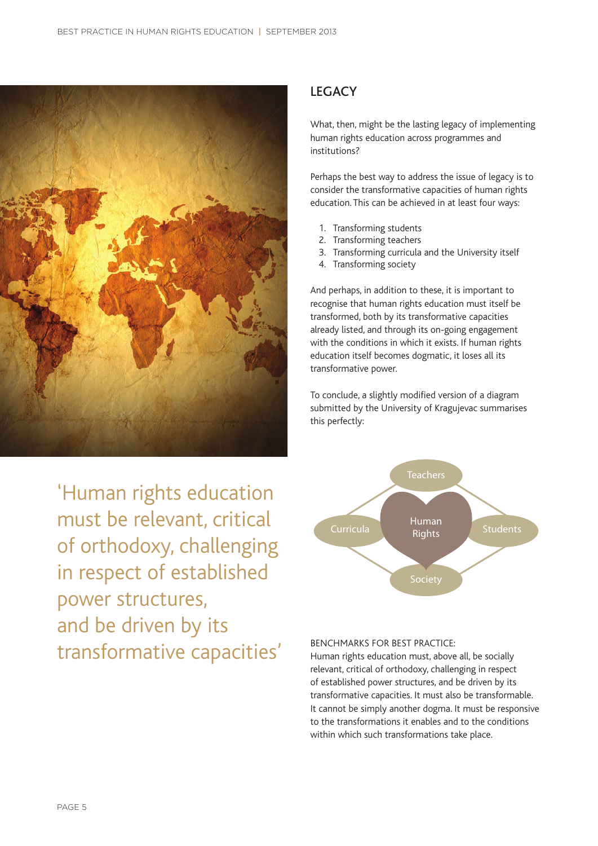

'Human rights education must be relevant, critical of orthodoxy, challenging in respect of established power structures, and be driven by its transformative capacities'

#### **LEGACY**

What, then, might be the lasting legacy of implementing human rights education across programmes and institutions?

Perhaps the best way to address the issue of legacy is to consider the transformative capacities of human rights education. This can be achieved in at least four ways:

- 1. Transforming students
- 2. Transforming teachers
- 3. Transforming curricula and the University itself
- 4. Transforming society

And perhaps, in addition to these, it is important to recognise that human rights education must itself be transformed, both by its transformative capacities already listed, and through its on-going engagement with the conditions in which it exists. If human rights education itself becomes dogmatic, it loses all its transformative power.

To conclude, a slightly modified version of a diagram submitted by the University of Kragujevac summarises this perfectly:



#### BENCHMARKS FOR BEST PRACTICE:

Human rights education must, above all, be socially relevant, critical of orthodoxy, challenging in respect of established power structures, and be driven by its transformative capacities. It must also be transformable. It cannot be simply another dogma. It must be responsive to the transformations it enables and to the conditions within which such transformations take place.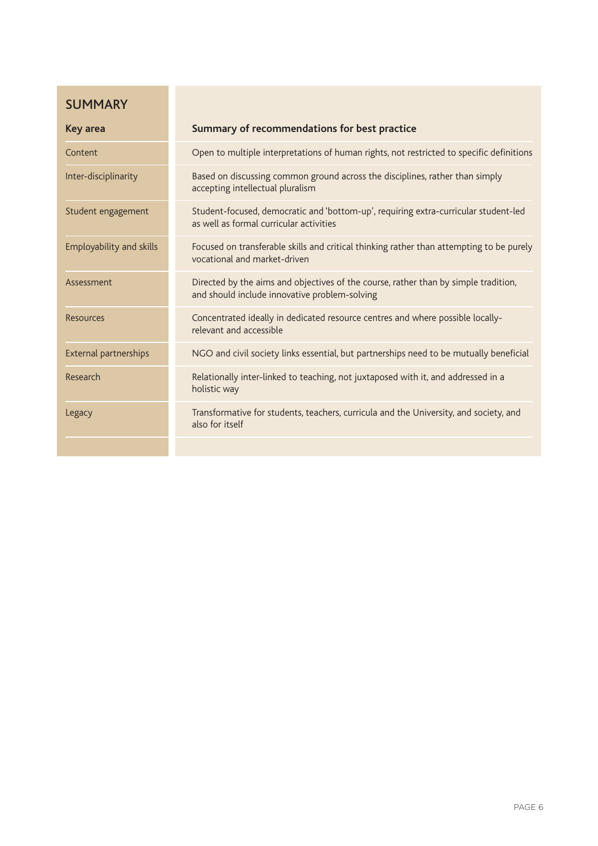## SUMMARY

| <b>Key area</b>          | Summary of recommendations for best practice                                                                                         |
|--------------------------|--------------------------------------------------------------------------------------------------------------------------------------|
| Content                  | Open to multiple interpretations of human rights, not restricted to specific definitions                                             |
| Inter-disciplinarity     | Based on discussing common ground across the disciplines, rather than simply<br>accepting intellectual pluralism                     |
| Student engagement       | Student-focused, democratic and 'bottom-up', requiring extra-curricular student-led<br>as well as formal curricular activities       |
| Employability and skills | Focused on transferable skills and critical thinking rather than attempting to be purely<br>vocational and market-driven             |
| Assessment               | Directed by the aims and objectives of the course, rather than by simple tradition,<br>and should include innovative problem-solving |
| Resources                | Concentrated ideally in dedicated resource centres and where possible locally-<br>relevant and accessible                            |
| External partnerships    | NGO and civil society links essential, but partnerships need to be mutually beneficial                                               |
| Research                 | Relationally inter-linked to teaching, not juxtaposed with it, and addressed in a<br>holistic way                                    |
| Legacy                   | Transformative for students, teachers, curricula and the University, and society, and<br>also for itself                             |
|                          |                                                                                                                                      |